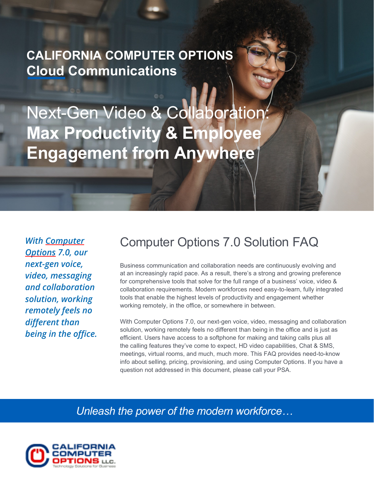# **CALIFORNIA COMPUTER OPTIONS Cloud Communications**

Next-Gen Video & Collaboration: **Max Productivity & Employee Engagement from Anywhere**

*With Computer Options 7.0, our next-gen voice, video, messaging and collaboration solution, working remotely feels no different than being in the office.*

## Computer Options 7.0 Solution FAQ

Business communication and collaboration needs are continuously evolving and at an increasingly rapid pace. As a result, there's a strong and growing preference for comprehensive tools that solve for the full range of a business' voice, video & collaboration requirements. Modern workforces need easy-to-learn, fully integrated tools that enable the highest levels of productivity and engagement whether working remotely, in the office, or somewhere in between.

With Computer Options 7.0, our next-gen voice, video, messaging and collaboration solution, working remotely feels no different than being in the office and is just as efficient. Users have access to a softphone for making and taking calls plus all the calling features they've come to expect, HD video capabilities, Chat & SMS, meetings, virtual rooms, and much, much more. This FAQ provides need-to-know info about selling, pricing, provisioning, and using Computer Options. If you have a question not addressed in this document, please call your PSA.

*Unleash the power of the modern workforce…* 

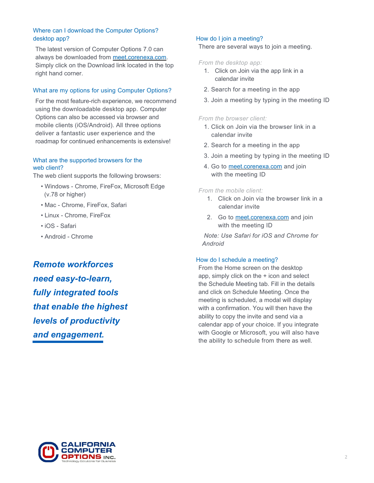## Where can I download the Computer Options? desktop app?

The latest version of Computer Options 7.0 can always be downloaded from [meet.corenexa.com.](http://meet.corenexa.com/) Simply click on the Download link located in the top right hand corner.

## What are my options for using Computer Options?

For the most feature-rich experience, we recommend using the downloadable desktop app. Computer Options can also be accessed via browser and mobile clients (iOS/Android). All three options deliver a fantastic user experience and the roadmap for continued enhancements is extensive!

## What are the supported browsers for the web client?

The web client supports the following browsers:

- Windows Chrome, FireFox, Microsoft Edge (v.78 or higher)
- Mac Chrome, FireFox, Safari
- Linux Chrome, FireFox
- iOS Safari
- Android Chrome

*Remote workforces need easy-to-learn, fully integrated tools that enable the highest levels of productivity and engagement.*

## How do I join a meeting?

There are several ways to join a meeting.

#### *From the desktop app:*

- 1. Click on Join via the app link in a calendar invite
- 2. Search for a meeting in the app
- 3. Join a meeting by typing in the meeting ID

## *From the browser client:*

- 1. Click on Join via the browser link in a calendar invite
- 2. Search for a meeting in the app
- 3. Join a meeting by typing in the meeting ID
- 4. Go to [meet.corenexa.com](http://meet.corenexa.com/) and join with the meeting ID

### *From the mobile client:*

- 1. Click on Join via the browser link in a calendar invite
- 2. Go to [meet.corenexa.com](http://meet.corenexa.com/) and join with the meeting ID

 *Note: Use Safari for iOS and Chrome for Android*

### How do I schedule a meeting?

From the Home screen on the desktop app, simply click on the + icon and select the Schedule Meeting tab. Fill in the details and click on Schedule Meeting. Once the meeting is scheduled, a modal will display with a confirmation. You will then have the ability to copy the invite and send via a calendar app of your choice. If you integrate with Google or Microsoft, you will also have the ability to schedule from there as well.

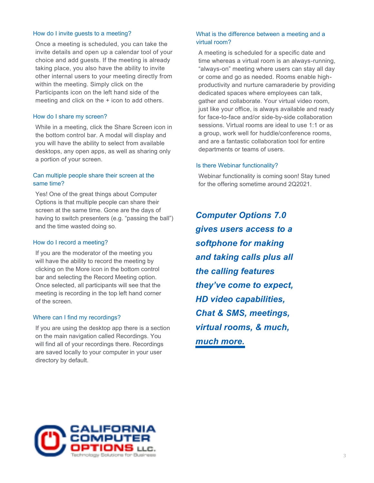### How do I invite guests to a meeting?

Once a meeting is scheduled, you can take the invite details and open up a calendar tool of your choice and add guests. If the meeting is already taking place, you also have the ability to invite other internal users to your meeting directly from within the meeting. Simply click on the Participants icon on the left hand side of the meeting and click on the + icon to add others.

#### How do I share my screen?

While in a meeting, click the Share Screen icon in the bottom control bar. A modal will display and you will have the ability to select from available desktops, any open apps, as well as sharing only a portion of your screen.

## Can multiple people share their screen at the same time?

Yes! One of the great things about Computer Options is that multiple people can share their screen at the same time. Gone are the days of having to switch presenters (e.g. "passing the ball") and the time wasted doing so.

#### How do I record a meeting?

If you are the moderator of the meeting you will have the ability to record the meeting by clicking on the More icon in the bottom control bar and selecting the Record Meeting option. Once selected, all participants will see that the meeting is recording in the top left hand corner of the screen.

#### Where can I find my recordings?

If you are using the desktop app there is a section on the main navigation called Recordings. You will find all of your recordings there. Recordings are saved locally to your computer in your user directory by default.

## What is the difference between a meeting and a virtual room?

A meeting is scheduled for a specific date and time whereas a virtual room is an always-running, "always-on" meeting where users can stay all day or come and go as needed. Rooms enable highproductivity and nurture camaraderie by providing dedicated spaces where employees can talk, gather and collaborate. Your virtual video room, just like your office, is always available and ready for face-to-face and/or side-by-side collaboration sessions. Virtual rooms are ideal to use 1:1 or as a group, work well for huddle/conference rooms, and are a fantastic collaboration tool for entire departments or teams of users.

#### Is there Webinar functionality?

Webinar functionality is coming soon! Stay tuned for the offering sometime around 2Q2021.

*Computer Options 7.0 gives users access to a softphone for making and taking calls plus all the calling features they've come to expect, HD video capabilities, Chat & SMS, meetings, virtual rooms, & much, much more.* 

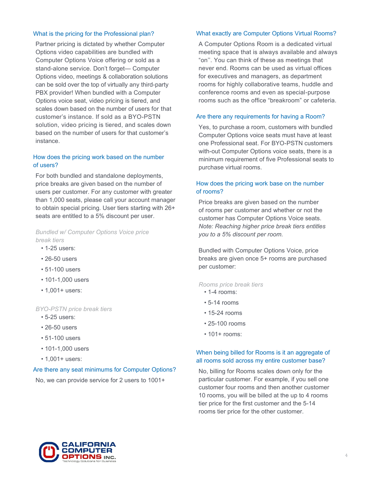## What is the pricing for the Professional plan?

Partner pricing is dictated by whether Computer Options video capabilities are bundled with Computer Options Voice offering or sold as a stand-alone service. Don't forget— Computer Options video, meetings & collaboration solutions can be sold over the top of virtually any third-party PBX provider! When bundled with a Computer Options voice seat, video pricing is tiered, and scales down based on the number of users for that customer's instance. If sold as a BYO-PSTN solution, video pricing is tiered, and scales down based on the number of users for that customer's instance.

## How does the pricing work based on the number of users?

For both bundled and standalone deployments, price breaks are given based on the number of users per customer. For any customer with greater than 1,000 seats, please call your account manager to obtain special pricing. User tiers starting with 26+ seats are entitled to a 5% discount per user.

## *Bundled w/ Computer Options Voice price break tiers*

- 1-25 users:
- 26-50 users
- 51-100 users
- 101-1,000 users
- 1,001+ users:

### *BYO-PSTN price break tiers*

- 5-25 users:
- 26-50 users
- 51-100 users
- 101-1,000 users
- 1,001+ users:

### Are there any seat minimums for Computer Options?

No, we can provide service for 2 users to 1001+

#### What exactly are Computer Options Virtual Rooms?

A Computer Options Room is a dedicated virtual meeting space that is always available and always "on''. You can think of these as meetings that never end. Rooms can be used as virtual offices for executives and managers, as department rooms for highly collaborative teams, huddle and conference rooms and even as special-purpose rooms such as the office "breakroom" or cafeteria.

#### Are there any requirements for having a Room?

Yes, to purchase a room, customers with bundled Computer Options voice seats must have at least one Professional seat. For BYO-PSTN customers with-out Computer Options voice seats, there is a minimum requirement of five Professional seats to purchase virtual rooms.

## How does the pricing work base on the number of rooms?

Price breaks are given based on the number of rooms per customer and whether or not the customer has Computer Options Voice seats. *Note: Reaching higher price break tiers entitles you to a 5% discount per room.*

Bundled with Computer Options Voice, price breaks are given once 5+ rooms are purchased per customer:

*Rooms price break tiers*

- 1-4 rooms:
- 5-14 rooms
- 15-24 rooms
- 25-100 rooms
- 101+ rooms:

## When being billed for Rooms is it an aggregate of all rooms sold across my entire customer base?

No, billing for Rooms scales down only for the particular customer. For example, if you sell one customer four rooms and then another customer 10 rooms, you will be billed at the up to 4 rooms tier price for the first customer and the 5-14 rooms tier price for the other customer.